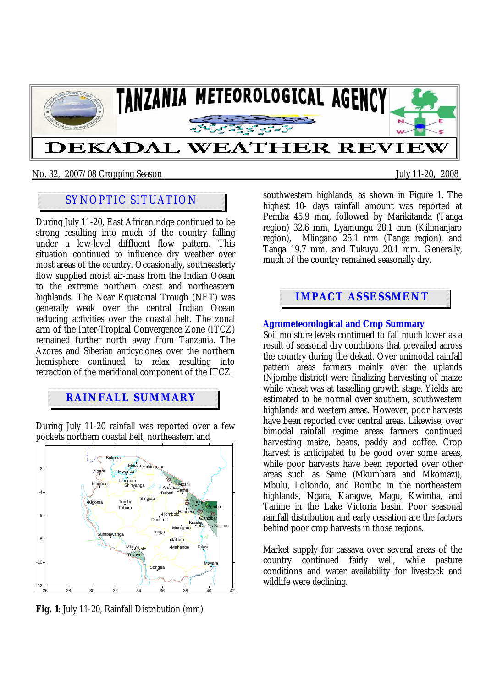

## No. 32, 2007/08 Cropping Season July 11-20**,** 2008

# SYNOPTIC SITUATION

During July 11-20, East African ridge continued to be strong resulting into much of the country falling under a low-level diffluent flow pattern. This situation continued to influence dry weather over most areas of the country. Occasionally, southeasterly flow supplied moist air-mass from the Indian Ocean to the extreme northern coast and northeastern highlands. The Near Equatorial Trough (NET) was generally weak over the central Indian Ocean reducing activities over the coastal belt. The zonal arm of the Inter-Tropical Convergence Zone (ITCZ) remained further north away from Tanzania. The Azores and Siberian anticyclones over the northern hemisphere continued to relax resulting into retraction of the meridional component of the ITCZ.

# **RAINFALL SUMMARY**

During July 11-20 rainfall was reported over a few pockets northern coastal belt, northeastern and



**Fig. 1**: July 11-20, Rainfall Distribution (mm)

southwestern highlands, as shown in Figure 1. The highest 10- days rainfall amount was reported at Pemba 45.9 mm, followed by Marikitanda (Tanga region) 32.6 mm, Lyamungu 28.1 mm (Kilimanjaro region), Mlingano 25.1 mm (Tanga region), and Tanga 19.7 mm, and Tukuyu 20.1 mm. Generally, much of the country remained seasonally dry.

# **IMPACT ASSESSMENT**

## **Agrometeorological and Crop Summary**

Soil moisture levels continued to fall much lower as a result of seasonal dry conditions that prevailed across the country during the dekad. Over unimodal rainfall pattern areas farmers mainly over the uplands (Njombe district) were finalizing harvesting of maize while wheat was at tasselling growth stage. Yields are estimated to be normal over southern, southwestern highlands and western areas. However, poor harvests have been reported over central areas. Likewise, over bimodal rainfall regime areas farmers continued harvesting maize, beans, paddy and coffee. Crop harvest is anticipated to be good over some areas, while poor harvests have been reported over other areas such as Same (Mkumbara and Mkomazi), Mbulu, Loliondo, and Rombo in the northeastern highlands, Ngara, Karagwe, Magu, Kwimba, and Tarime in the Lake Victoria basin. Poor seasonal rainfall distribution and early cessation are the factors behind poor crop harvests in those regions.

Market supply for cassava over several areas of the country continued fairly well, while pasture conditions and water availability for livestock and wildlife were declining.